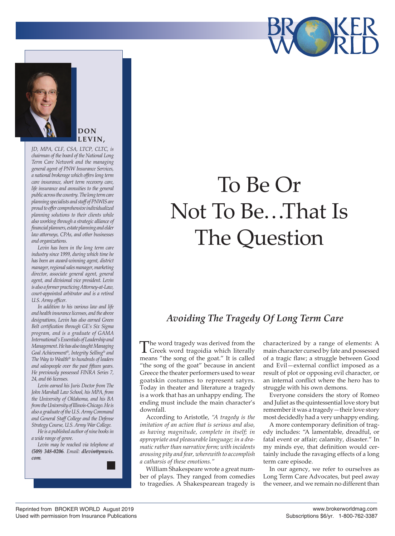



**DON LEVIN,**

*JD, MPA, CLF, CSA, LTCP, CLTC, is chairman of the board of the National Long Term Care Network and the managing general agent of PNW Insurance Services, a national brokerage which offers long term care insurance, short term recovery care, life insurance and annuities to the general public across the country. The long term care planning specialists and staff of PNWIS are proud to offer comprehensive individualized planning solutions to their clients while also working through a strategic alliance of financial planners, estate planning and elder law attorneys, CPAs, and other businesses and organizations.* 

*Levin has been in the long term care industry since 1999, during which time he has been an award-winning agent, district manager, regional sales manager, marketing director, associate general agent, general agent, and divisional vice president. Levin is also a former practicing Attorney-at-Law, court-appointed arbitrator and is a retired U.S. Army officer.*

*In addition to his various law and life and health insurance licenses, and the above designations, Levin has also earned Green Belt certification through GE's Six Sigma program, and is a graduate of GAMA International's Essentials of Leadership and Management. He has also taught Managing Goal Achievement®, Integrity Selling® and The Way to Wealth® to hundreds of leaders and salespeople over the past fifteen years. He previously possessed FINRA Series 7, 24, and 66 licenses.*

*Levin earned his Juris Doctor from The John Marshall Law School, his MPA, from the University of Oklahoma, and his BA from the University of Illinois-Chicago. He is also a graduate of the U.S. Army Command and General Staff College and the Defense Strategy Course, U.S. Army War College.* 

*He is a published author of nine books in a wide range of genre.*

*Levin may be reached via telephone at (509) 348-0206. Email: dlevin@pnwis. com.*

## To Be Or Not To Be…That Is The Question

## *Avoiding The Tragedy Of Long Term Care*

The word tragedy was derived from the Greek word tragoidia which literally means "the song of the goat." It is called "the song of the goat" because in ancient Greece the theater performers used to wear goatskin costumes to represent satyrs. Today in theater and literature a tragedy is a work that has an unhappy ending. The ending must include the main character's downfall.

According to Aristotle, *"A tragedy is the imitation of an action that is serious and also, as having magnitude, complete in itself; in appropriate and pleasurable language; in a dramatic rather than narrative form; with incidents arousing pity and fear, wherewith to accomplish a catharsis of these emotions."*

William Shakespeare wrote a great number of plays. They ranged from comedies to tragedies. A Shakespearean tragedy is characterized by a range of elements: A main character cursed by fate and possessed of a tragic flaw; a struggle between Good and Evil—external conflict imposed as a result of plot or opposing evil character, or an internal conflict where the hero has to struggle with his own demons.

Everyone considers the story of Romeo and Juliet as the quintessential love story but remember it was a tragedy—their love story most decidedly had a very unhappy ending.

A more contemporary definition of tragedy includes: "A lamentable, dreadful, or fatal event or affair; calamity, disaster." In my minds eye, that definition would certainly include the ravaging effects of a long term care episode.

In our agency, we refer to ourselves as Long Term Care Advocates, but peel away the veneer, and we remain no different than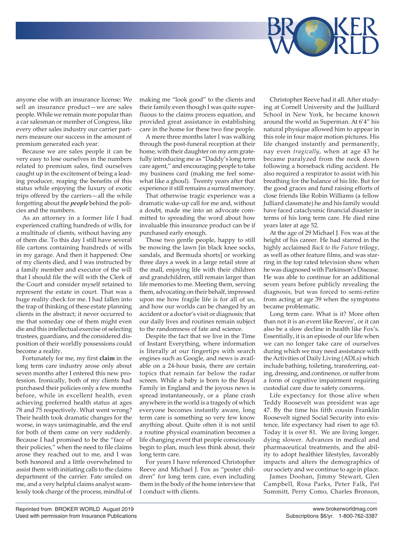

anyone else with an insurance license: We sell an insurance product—we are sales people. While we remain more popular than a car salesman or member of Congress, like every other sales industry our carrier partners measure our success in the amount of premium generated each year.

Because we are sales people it can be very easy to lose ourselves in the numbers related to premium sales, find ourselves caught up in the excitement of being a leading producer, reaping the benefits of this status while enjoying the luxury of exotic trips offered by the carriers—all the while forgetting about the *people* behind the policies and the numbers.

As an attorney in a former life I had experienced crafting hundreds of wills, for a multitude of clients, without having any of them die. To this day I still have several file cartons containing hundreds of wills in my garage. And then it happened: One of my clients died, and I was instructed by a family member and executor of the will that I should file the will with the Clerk of the Court and consider myself retained to represent the estate in court. That was a huge reality check for me. I had fallen into the trap of thinking of these estate planning clients in the abstract; it never occurred to me that someday one of them might even die and this intellectual exercise of selecting trustees, guardians, and the considered disposition of their worldly possessions could become a reality.

Fortunately for me, my first **claim** in the long term care industry arose only about seven months after I entered this new profession. Ironically, both of my clients had purchased their policies only a few months before, while in excellent health, even achieving preferred health status at ages 78 and 75 respectively. What went wrong? Their health took dramatic changes for the worse, in ways unimaginable, and the end for both of them came on very suddenly. Because I had promised to be the "face of their policies," when the need to file claims arose they reached out to me, and I was both honored and a little overwhelmed to assist them with initiating calls to the claims department of the carrier. Fate smiled on me, and a very helpful claims analyst seamlessly took charge of the process, mindful of making me "look good" to the clients and their family even though I was quite superfluous to the claims process equation, and provided great assistance in establishing care in the home for these two fine people.

A mere three months later I was walking through the post-funeral reception at their home, with their daughter on my arm gratefully introducing me as "Daddy's long term care agent," and encouraging people to take my business card (making me feel somewhat like a ghoul). Twenty years after that experience it still remains a surreal memory.

That otherwise tragic experience was a dramatic wake-up call for me and, without a doubt, made me into an advocate committed to spreading the word about how invaluable this insurance product can be if purchased early enough.

Those two gentle people, happy to still be mowing the lawn [in black knee socks, sandals, and Bermuda shorts] or working three days a week in a large retail store at the mall, enjoying life with their children and grandchildren, still remain larger than life memories to me. Meeting them, serving them, advocating on their behalf, impressed upon me how fragile life is for all of us, and how our worlds can be changed by an accident or a doctor's visit or diagnosis; that our daily lives and routines remain subject to the randomness of fate and science.

Despite the fact that we live in the Time of Instant Everything, where information is literally at our fingertips with search engines such as Google, and news is available on a 24-hour basis, there are certain topics that remain far below the radar screen. While a baby is born to the Royal Family in England and the joyous news is spread instantaneously, or a plane crash anywhere in the world is a tragedy of which everyone becomes instantly aware, long term care is something so very few know anything about. Quite often it is not until a routine physical examination becomes a life changing event that people consciously begin to plan, much less think about, their long term care.

For years I have referenced Christopher Reeve and Michael J. Fox as "poster children" for long term care, even including them in the body of the home interview that I conduct with clients.

Christopher Reeve had it all. After studying at Cornell University and the Juilliard School in New York, he became known around the world as Superman. At 6'4" his natural physique allowed him to appear in this role in four major motion pictures. His life changed instantly and permanently, nay even *tragically*, when at age 43 he became paralyzed from the neck down following a horseback riding accident. He also required a respirator to assist with his breathing for the balance of his life. But for the good graces and fund raising efforts of close friends like Robin Williams (a fellow Julliard classmate) he and his family would have faced cataclysmic financial disaster in terms of his long term care. He died nine years later at age 52.

At the age of 29 Michael J. Fox was at the height of his career. He had starred in the highly acclaimed *Back to the Future* trilogy, as well as other feature films, and was starring in the top rated television show when he was diagnosed with Parkinson's Disease. He was able to continue for an additional seven years before publicly revealing the diagnosis, but was forced to semi-retire from acting at age 39 when the symptoms became problematic.

Long term care. What is it? More often than not it is an event like Reeves', or it can also be a slow decline in health like Fox's. Essentially, it is an episode of our life when we can no longer take care of ourselves during which we may need assistance with the Activities of Daily Living (ADLs) which include bathing, toileting, transferring, eating, dressing, and continence, or suffer from a form of cognitive impairment requiring custodial care due to safety concerns.

Life expectancy for those alive when Teddy Roosevelt was president was age 47. By the time his fifth cousin Franklin Roosevelt signed Social Security into existence, life expectancy had risen to age 63. Today it is over 81. We are living longer, dying slower. Advances in medical and pharmaceutical treatments, and the ability to adopt healthier lifestyles, favorably impacts and alters the demographics of our society and we continue to age in place.

James Doohan, Jimmy Stewart, Glen Campbell, Rosa Parks, Peter Falk, Pat Summitt, Perry Como, Charles Bronson,